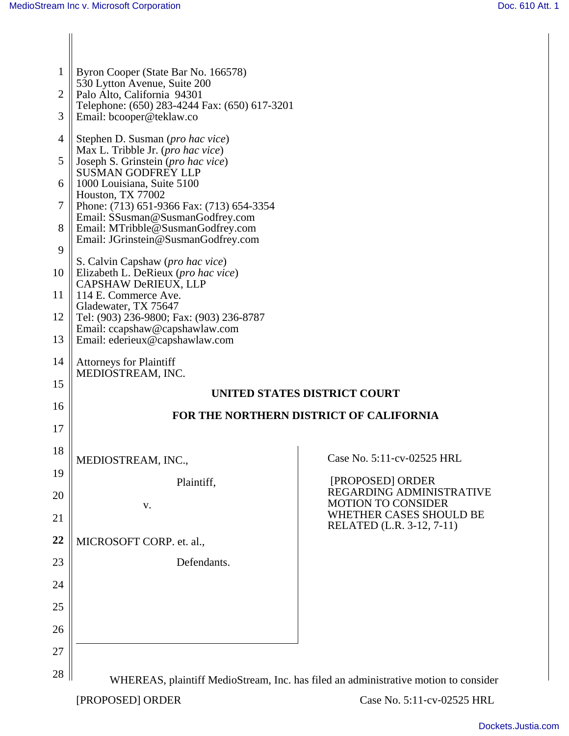| $\mathbf{1}$   | Byron Cooper (State Bar No. 166578)<br>530 Lytton Avenue, Suite 200       |                                                                                     |  |
|----------------|---------------------------------------------------------------------------|-------------------------------------------------------------------------------------|--|
| 2              | Palo Alto, California 94301                                               |                                                                                     |  |
| 3              | Telephone: (650) 283-4244 Fax: (650) 617-3201<br>Email: bcooper@teklaw.co |                                                                                     |  |
| $\overline{4}$ | Stephen D. Susman (pro hac vice)<br>Max L. Tribble Jr. (pro hac vice)     |                                                                                     |  |
| 5              | Joseph S. Grinstein (pro hac vice)                                        |                                                                                     |  |
| 6              | <b>SUSMAN GODFREY LLP</b><br>1000 Louisiana, Suite 5100                   |                                                                                     |  |
| 7              | Houston, TX 77002<br>Phone: (713) 651-9366 Fax: (713) 654-3354            |                                                                                     |  |
| 8              | Email: SSusman@SusmanGodfrey.com<br>Email: MTribble@SusmanGodfrey.com     |                                                                                     |  |
| 9              | Email: JGrinstein@SusmanGodfrey.com                                       |                                                                                     |  |
| 10             | S. Calvin Capshaw (pro hac vice)<br>Elizabeth L. DeRieux (pro hac vice)   |                                                                                     |  |
| 11             | CAPSHAW DeRIEUX, LLP<br>114 E. Commerce Ave.                              |                                                                                     |  |
| 12             | Gladewater, TX 75647<br>Tel: (903) 236-9800; Fax: (903) 236-8787          |                                                                                     |  |
| 13             | Email: ccapshaw@capshawlaw.com<br>Email: ederieux@capshawlaw.com          |                                                                                     |  |
| 14             | <b>Attorneys for Plaintiff</b><br>MEDIOSTREAM, INC.                       |                                                                                     |  |
| 15             |                                                                           | UNITED STATES DISTRICT COURT                                                        |  |
| 16             | FOR THE NORTHERN DISTRICT OF CALIFORNIA                                   |                                                                                     |  |
| 17             |                                                                           |                                                                                     |  |
| 18             | MEDIOSTREAM, INC                                                          | Case No. 5:11-cv-02525 HRL                                                          |  |
| 19             | Plaintiff,                                                                | [PROPOSED] ORDER                                                                    |  |
| 20             | V.                                                                        | REGARDING ADMINISTRATIVE<br><b>MOTION TO CONSIDER</b>                               |  |
| 21             |                                                                           | WHETHER CASES SHOULD BE<br>RELATED (L.R. 3-12, 7-11)                                |  |
| 22             | MICROSOFT CORP. et. al.,                                                  |                                                                                     |  |
| 23             | Defendants.                                                               |                                                                                     |  |
| 24             |                                                                           |                                                                                     |  |
| 25             |                                                                           |                                                                                     |  |
| 26             |                                                                           |                                                                                     |  |
| 27             |                                                                           |                                                                                     |  |
| 28             |                                                                           |                                                                                     |  |
|                |                                                                           | WHEREAS, plaintiff MedioStream, Inc. has filed an administrative motion to consider |  |
|                | [PROPOSED] ORDER                                                          | Case No. 5:11-cv-02525 HRL                                                          |  |